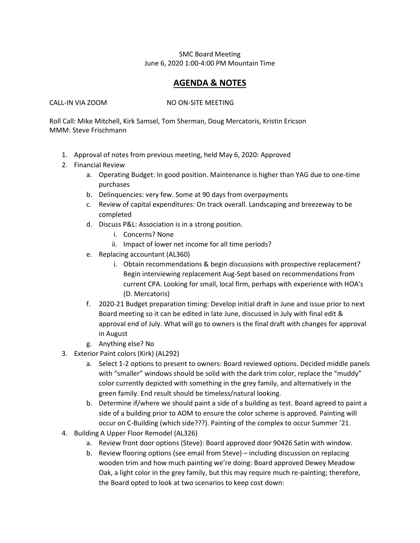## SMC Board Meeting June 6, 2020 1:00-4:00 PM Mountain Time

## **AGENDA & NOTES**

CALL-IN VIA ZOOM NO ON-SITE MEETING

Roll Call: Mike Mitchell, Kirk Samsel, Tom Sherman, Doug Mercatoris, Kristin Ericson MMM: Steve Frischmann

- 1. Approval of notes from previous meeting, held May 6, 2020: Approved
- 2. Financial Review
	- a. Operating Budget: In good position. Maintenance is higher than YAG due to one-time purchases
	- b. Delinquencies: very few. Some at 90 days from overpayments
	- c. Review of capital expenditures: On track overall. Landscaping and breezeway to be completed
	- d. Discuss P&L: Association is in a strong position.
		- i. Concerns? None
		- ii. Impact of lower net income for all time periods?
	- e. Replacing accountant (AL360)
		- i. Obtain recommendations & begin discussions with prospective replacement? Begin interviewing replacement Aug-Sept based on recommendations from current CPA. Looking for small, local firm, perhaps with experience with HOA's (D. Mercatoris)
	- f. 2020-21 Budget preparation timing: Develop initial draft in June and issue prior to next Board meeting so it can be edited in late June, discussed in July with final edit & approval end of July. What will go to owners is the final draft with changes for approval in August
	- g. Anything else? No
- 3. Exterior Paint colors (Kirk) (AL292)
	- a. Select 1-2 options to present to owners: Board reviewed options. Decided middle panels with "smaller" windows should be solid with the dark trim color, replace the "muddy" color currently depicted with something in the grey family, and alternatively in the green family. End result should be timeless/natural looking.
	- b. Determine if/where we should paint a side of a building as test. Board agreed to paint a side of a building prior to AOM to ensure the color scheme is approved. Painting will occur on C-Building (which side???). Painting of the complex to occur Summer '21.
- 4. Building A Upper Floor Remodel (AL326)
	- a. Review front door options (Steve): Board approved door 90426 Satin with window.
	- b. Review flooring options (see email from Steve) including discussion on replacing wooden trim and how much painting we're doing: Board approved Dewey Meadow Oak, a light color in the grey family, but this may require much re-painting; therefore, the Board opted to look at two scenarios to keep cost down: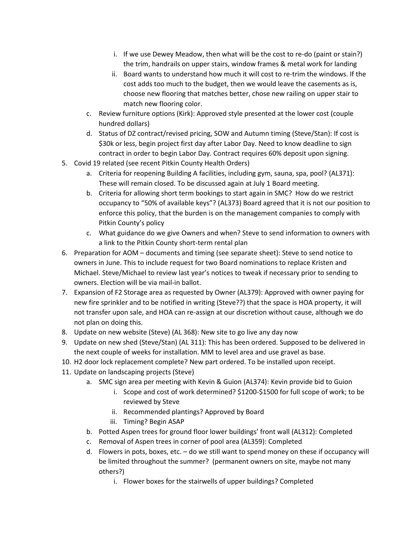- i. If we use Dewey Meadow, then what will be the cost to re-do (paint or stain?) the trim, handrails on upper stairs, window frames & metal work for landing
- ii. Board wants to understand how much it will cost to re-trim the windows. If the cost adds too much to the budget, then we would leave the casements as is, choose new flooring that matches better, chose new railing on upper stair to match new flooring color.
- c. Review furniture options (Kirk): Approved style presented at the lower cost (couple hundred dollars)
- d. Status of DZ contract/revised pricing, SOW and Autumn timing (Steve/Stan): If cost is \$30k or less, begin project first day after Labor Day. Need to know deadline to sign contract in order to begin Labor Day. Contract requires 60% deposit upon signing.
- 5. Covid 19 related (see recent Pitkin County Health Orders)
	- a. Criteria for reopening Building A facilities, including gym, sauna, spa, pool? (AL371): These will remain closed. To be discussed again at July 1 Board meeting.
	- b. Criteria for allowing short term bookings to start again in SMC? How do we restrict occupancy to "50% of available keys"? (AL373) Board agreed that it is not our position to enforce this policy, that the burden is on the management companies to comply with Pitkin County's policy
	- c. What guidance do we give Owners and when? Steve to send information to owners with a link to the Pitkin County short-term rental plan
- 6. Preparation for AOM documents and timing (see separate sheet): Steve to send notice to owners in June. This to include request for two Board nominations to replace Kristen and Michael. Steve/Michael to review last year's notices to tweak if necessary prior to sending to owners. Election will be via mail-in ballot.
- 7. Expansion of F2 Storage area as requested by Owner (AL379): Approved with owner paying for new fire sprinkler and to be notified in writing (Steve??) that the space is HOA property, it will not transfer upon sale, and HOA can re-assign at our discretion without cause, although we do not plan on doing this.
- 8. Update on new website (Steve) (AL 368): New site to go live any day now
- 9. Update on new shed (Steve/Stan) (AL 311): This has been ordered. Supposed to be delivered in the next couple of weeks for installation. MM to level area and use gravel as base.
- 10. H2 door lock replacement complete? New part ordered. To be installed upon receipt.
- 11. Update on landscaping projects (Steve)
	- a. SMC sign area per meeting with Kevin & Guion (AL374): Kevin provide bid to Guion
		- i. Scope and cost of work determined? \$1200-\$1500 for full scope of work; to be reviewed by Steve
		- ii. Recommended plantings? Approved by Board
		- iii. Timing? Begin ASAP
	- b. Potted Aspen trees for ground floor lower buildings' front wall (AL312): Completed
	- c. Removal of Aspen trees in corner of pool area (AL359): Completed
	- d. Flowers in pots, boxes, etc. do we still want to spend money on these if occupancy will be limited throughout the summer? (permanent owners on site, maybe not many others?)
		- i. Flower boxes for the stairwells of upper buildings? Completed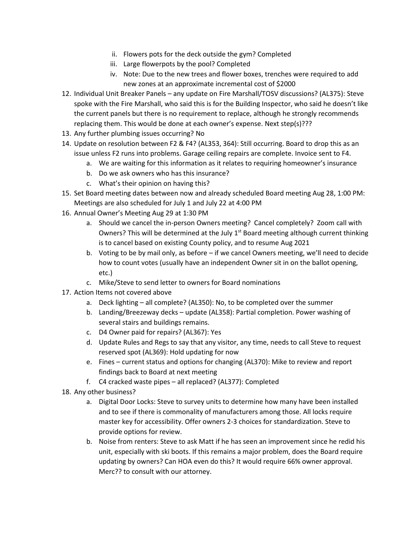- ii. Flowers pots for the deck outside the gym? Completed
- iii. Large flowerpots by the pool? Completed
- iv. Note: Due to the new trees and flower boxes, trenches were required to add new zones at an approximate incremental cost of \$2000
- 12. Individual Unit Breaker Panels any update on Fire Marshall/TOSV discussions? (AL375): Steve spoke with the Fire Marshall, who said this is for the Building Inspector, who said he doesn't like the current panels but there is no requirement to replace, although he strongly recommends replacing them. This would be done at each owner's expense. Next step(s)???
- 13. Any further plumbing issues occurring? No
- 14. Update on resolution between F2 & F4? (AL353, 364): Still occurring. Board to drop this as an issue unless F2 runs into problems. Garage ceiling repairs are complete. Invoice sent to F4.
	- a. We are waiting for this information as it relates to requiring homeowner's insurance
	- b. Do we ask owners who has this insurance?
	- c. What's their opinion on having this?
- 15. Set Board meeting dates between now and already scheduled Board meeting Aug 28, 1:00 PM: Meetings are also scheduled for July 1 and July 22 at 4:00 PM
- 16. Annual Owner's Meeting Aug 29 at 1:30 PM
	- a. Should we cancel the in-person Owners meeting? Cancel completely? Zoom call with Owners? This will be determined at the July  $1<sup>st</sup>$  Board meeting although current thinking is to cancel based on existing County policy, and to resume Aug 2021
	- b. Voting to be by mail only, as before if we cancel Owners meeting, we'll need to decide how to count votes (usually have an independent Owner sit in on the ballot opening, etc.)
	- c. Mike/Steve to send letter to owners for Board nominations
- 17. Action Items not covered above
	- a. Deck lighting all complete? (AL350): No, to be completed over the summer
	- b. Landing/Breezeway decks update (AL358): Partial completion. Power washing of several stairs and buildings remains.
	- c. D4 Owner paid for repairs? (AL367): Yes
	- d. Update Rules and Regs to say that any visitor, any time, needs to call Steve to request reserved spot (AL369): Hold updating for now
	- e. Fines current status and options for changing (AL370): Mike to review and report findings back to Board at next meeting
	- f. C4 cracked waste pipes all replaced? (AL377): Completed
- 18. Any other business?
	- a. Digital Door Locks: Steve to survey units to determine how many have been installed and to see if there is commonality of manufacturers among those. All locks require master key for accessibility. Offer owners 2-3 choices for standardization. Steve to provide options for review.
	- b. Noise from renters: Steve to ask Matt if he has seen an improvement since he redid his unit, especially with ski boots. If this remains a major problem, does the Board require updating by owners? Can HOA even do this? It would require 66% owner approval. Merc?? to consult with our attorney.